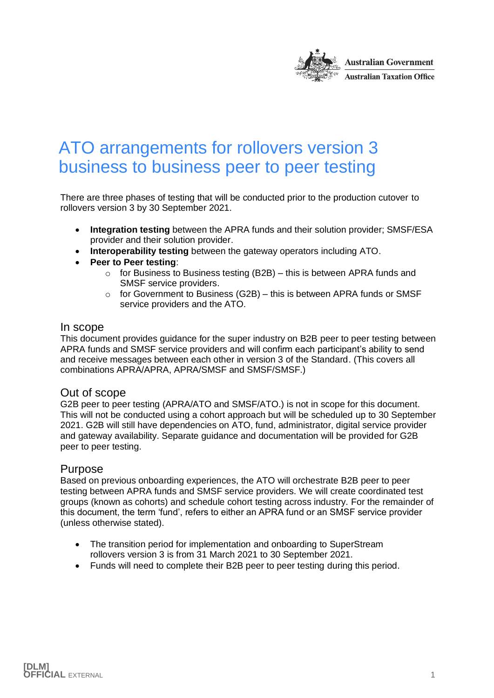

## <span id="page-0-0"></span>ATO arrangements for rollovers version 3 business to business peer to peer testing

There are three phases of testing that will be conducted prior to the production cutover to rollovers version 3 by 30 September 2021.

- **Integration testing** between the APRA funds and their solution provider; SMSF/ESA provider and their solution provider.
- **Interoperability testing** between the gateway operators including ATO.
- **Peer to Peer testing**:
	- $\circ$  for Business to Business testing (B2B) this is between APRA funds and SMSF service providers.
	- $\circ$  for Government to Business (G2B) this is between APRA funds or SMSF service providers and the ATO.

#### In scope

This document provides guidance for the super industry on B2B peer to peer testing between APRA funds and SMSF service providers and will confirm each participant's ability to send and receive messages between each other in version 3 of the Standard. (This covers all combinations APRA/APRA, APRA/SMSF and SMSF/SMSF.)

#### Out of scope

G2B peer to peer testing (APRA/ATO and SMSF/ATO.) is not in scope for this document. This will not be conducted using a cohort approach but will be scheduled up to 30 September 2021. G2B will still have dependencies on ATO, fund, administrator, digital service provider and gateway availability. Separate guidance and documentation will be provided for G2B peer to peer testing.

#### Purpose

Based on previous onboarding experiences, the ATO will orchestrate B2B peer to peer testing between APRA funds and SMSF service providers. We will create coordinated test groups (known as cohorts) and schedule cohort testing across industry. For the remainder of this document, the term 'fund', refers to either an APRA fund or an SMSF service provider (unless otherwise stated).

- The transition period for implementation and onboarding to SuperStream rollovers version 3 is from 31 March 2021 to 30 September 2021.
- Funds will need to complete their B2B peer to peer testing during this period.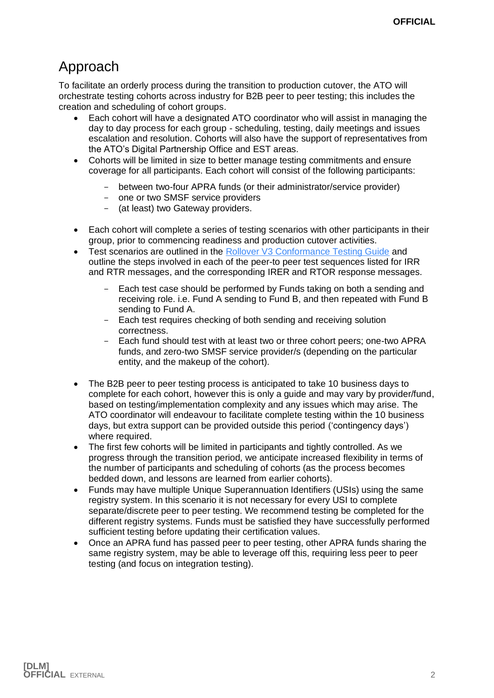## Approach

To facilitate an orderly process during the transition to production cutover, the ATO will orchestrate testing cohorts across industry for B2B peer to peer testing; this includes the creation and scheduling of cohort groups.

- Each cohort will have a designated ATO coordinator who will assist in managing the day to day process for each group - scheduling, testing, daily meetings and issues escalation and resolution. Cohorts will also have the support of representatives from the ATO's Digital Partnership Office and EST areas.
- Cohorts will be limited in size to better manage testing commitments and ensure coverage for all participants. Each cohort will consist of the following participants:
	- between two-four APRA funds (or their administrator/service provider)
	- one or two SMSF service providers
	- (at least) two Gateway providers.
- Each cohort will complete a series of testing scenarios with other participants in their group, prior to commencing readiness and production cutover activities.
- Test scenarios are outlined in the [Rollover V3 Conformance Testing Guide](https://softwaredevelopers.ato.gov.au/rolloverV3) and outline the steps involved in each of the peer-to peer test sequences listed for IRR and RTR messages, and the corresponding IRER and RTOR response messages.
	- Each test case should be performed by Funds taking on both a sending and receiving role. i.e. Fund A sending to Fund B, and then repeated with Fund B sending to Fund A.
	- Each test requires checking of both sending and receiving solution correctness.
	- Each fund should test with at least two or three cohort peers; one-two APRA funds, and zero-two SMSF service provider/s (depending on the particular entity, and the makeup of the cohort).
- The B2B peer to peer testing process is anticipated to take 10 business days to complete for each cohort, however this is only a guide and may vary by provider/fund, based on testing/implementation complexity and any issues which may arise. The ATO coordinator will endeavour to facilitate complete testing within the 10 business days, but extra support can be provided outside this period ('contingency days') where required.
- The first few cohorts will be limited in participants and tightly controlled. As we progress through the transition period, we anticipate increased flexibility in terms of the number of participants and scheduling of cohorts (as the process becomes bedded down, and lessons are learned from earlier cohorts).
- Funds may have multiple Unique Superannuation Identifiers (USIs) using the same registry system. In this scenario it is not necessary for every USI to complete separate/discrete peer to peer testing. We recommend testing be completed for the different registry systems. Funds must be satisfied they have successfully performed sufficient testing before updating their certification values.
- Once an APRA fund has passed peer to peer testing, other APRA funds sharing the same registry system, may be able to leverage off this, requiring less peer to peer testing (and focus on integration testing).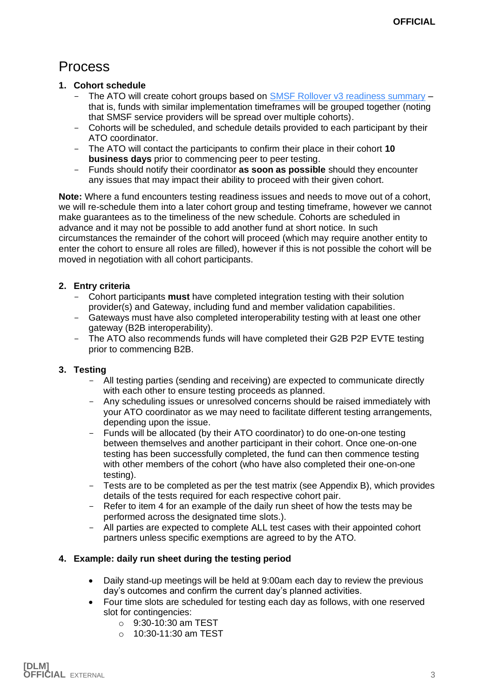### Process

#### **1. Cohort schedule**

- The ATO will create cohort groups based on SMSF Rollover  $v3$  readiness summary  $$ that is, funds with similar implementation timeframes will be grouped together (noting that SMSF service providers will be spread over multiple cohorts).
- Cohorts will be scheduled, and schedule details provided to each participant by their ATO coordinator.
- The ATO will contact the participants to confirm their place in their cohort **10 business days** prior to commencing peer to peer testing.
- Funds should notify their coordinator **as soon as possible** should they encounter any issues that may impact their ability to proceed with their given cohort.

**Note:** Where a fund encounters testing readiness issues and needs to move out of a cohort, we will re-schedule them into a later cohort group and testing timeframe, however we cannot make guarantees as to the timeliness of the new schedule. Cohorts are scheduled in advance and it may not be possible to add another fund at short notice. In such circumstances the remainder of the cohort will proceed (which may require another entity to enter the cohort to ensure all roles are filled), however if this is not possible the cohort will be moved in negotiation with all cohort participants.

#### **2. Entry criteria**

- Cohort participants **must** have completed integration testing with their solution provider(s) and Gateway, including fund and member validation capabilities.
- Gateways must have also completed interoperability testing with at least one other gateway (B2B interoperability).
- The ATO also recommends funds will have completed their G2B P2P EVTE testing prior to commencing B2B.

#### **3. Testing**

- All testing parties (sending and receiving) are expected to communicate directly with each other to ensure testing proceeds as planned.
- Any scheduling issues or unresolved concerns should be raised immediately with your ATO coordinator as we may need to facilitate different testing arrangements, depending upon the issue.
- Funds will be allocated (by their ATO coordinator) to do one-on-one testing between themselves and another participant in their cohort. Once one-on-one testing has been successfully completed, the fund can then commence testing with other members of the cohort (who have also completed their one-on-one testing).
- Tests are to be completed as per the test matrix (see Appendix B), which provides details of the tests required for each respective cohort pair.
- Refer to item 4 for an example of the daily run sheet of how the tests may be performed across the designated time slots.).
- All parties are expected to complete ALL test cases with their appointed cohort partners unless specific exemptions are agreed to by the ATO.

#### **4. Example: daily run sheet during the testing period**

- Daily stand-up meetings will be held at 9:00am each day to review the previous day's outcomes and confirm the current day's planned activities.
- Four time slots are scheduled for testing each day as follows, with one reserved slot for contingencies:
	- $\circ$  9:30-10:30 am TEST
	- $\circ$  10:30-11:30 am TEST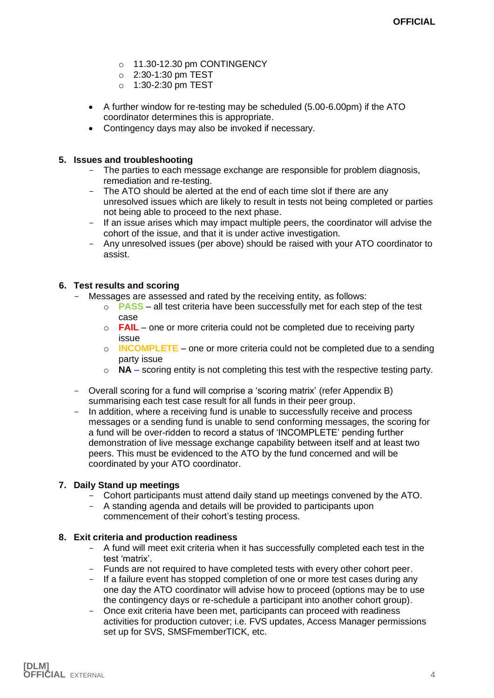- o 11.30-12.30 pm CONTINGENCY
- o 2:30-1:30 pm TEST
- o 1:30-2:30 pm TEST
- A further window for re-testing may be scheduled (5.00-6.00pm) if the ATO coordinator determines this is appropriate.
- Contingency days may also be invoked if necessary.

#### **5. Issues and troubleshooting**

- The parties to each message exchange are responsible for problem diagnosis, remediation and re-testing.
- The ATO should be alerted at the end of each time slot if there are any unresolved issues which are likely to result in tests not being completed or parties not being able to proceed to the next phase.
- If an issue arises which may impact multiple peers, the coordinator will advise the cohort of the issue, and that it is under active investigation.
- Any unresolved issues (per above) should be raised with your ATO coordinator to assist.

#### **6. Test results and scoring**

- Messages are assessed and rated by the receiving entity, as follows:
	- o **PASS** all test criteria have been successfully met for each step of the test case
	- o **FAIL** one or more criteria could not be completed due to receiving party issue
	- o **INCOMPLETE** one or more criteria could not be completed due to a sending party issue
	- o **NA** scoring entity is not completing this test with the respective testing party.
- Overall scoring for a fund will comprise a 'scoring matrix' (refer Appendix B) summarising each test case result for all funds in their peer group.
- In addition, where a receiving fund is unable to successfully receive and process messages or a sending fund is unable to send conforming messages, the scoring for a fund will be over-ridden to record a status of 'INCOMPLETE' pending further demonstration of live message exchange capability between itself and at least two peers. This must be evidenced to the ATO by the fund concerned and will be coordinated by your ATO coordinator.

#### **7. Daily Stand up meetings**

- Cohort participants must attend daily stand up meetings convened by the ATO.
- A standing agenda and details will be provided to participants upon commencement of their cohort's testing process.

#### **8. Exit criteria and production readiness**

- A fund will meet exit criteria when it has successfully completed each test in the test 'matrix'.
- Funds are not required to have completed tests with every other cohort peer.
- If a failure event has stopped completion of one or more test cases during any one day the ATO coordinator will advise how to proceed (options may be to use the contingency days or re-schedule a participant into another cohort group).
- Once exit criteria have been met, participants can proceed with readiness activities for production cutover; i.e. FVS updates, Access Manager permissions set up for SVS, SMSFmemberTICK, etc.